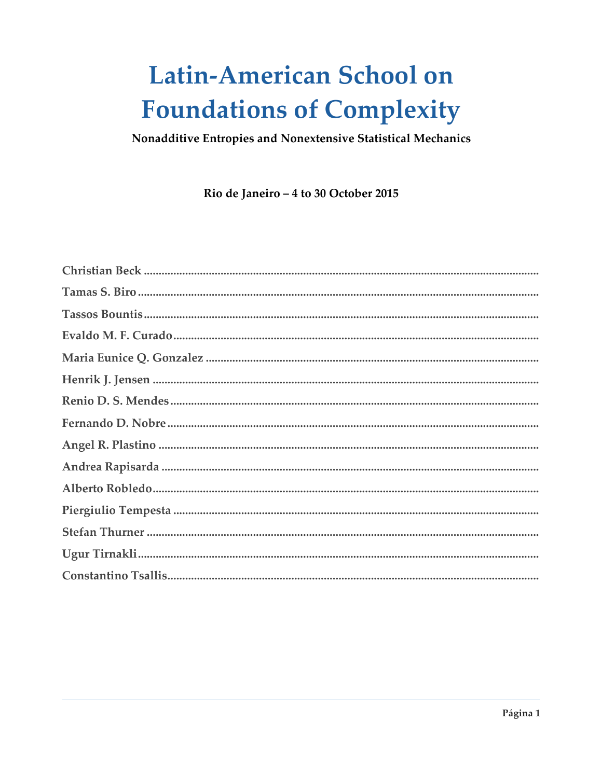## **Latin-American School on Foundations of Complexity**

Nonadditive Entropies and Nonextensive Statistical Mechanics

Rio de Janeiro - 4 to 30 October 2015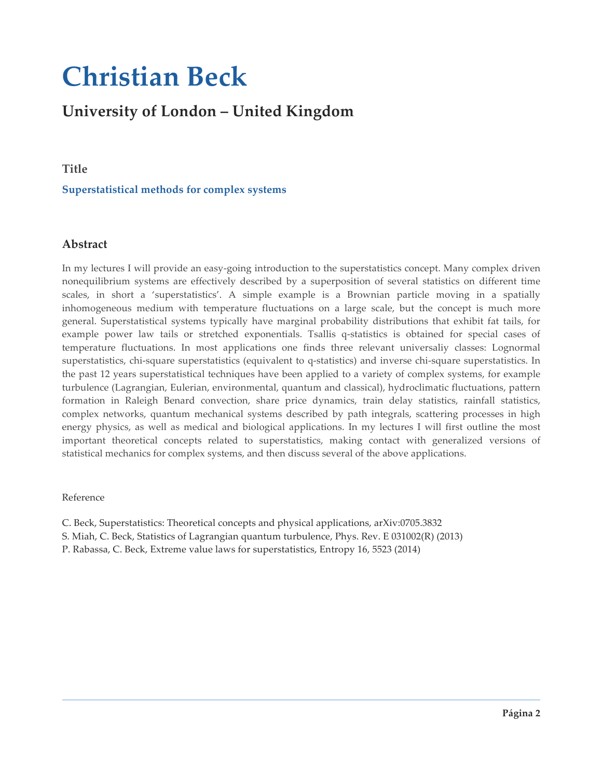## **Christian Beck**

### **University of London – United Kingdom**

**Title**

#### **Superstatistical methods for complex systems**

#### **Abstract**

In my lectures I will provide an easy-going introduction to the superstatistics concept. Many complex driven nonequilibrium systems are effectively described by a superposition of several statistics on different time scales, in short a 'superstatistics'. A simple example is a Brownian particle moving in a spatially inhomogeneous medium with temperature fluctuations on a large scale, but the concept is much more general. Superstatistical systems typically have marginal probability distributions that exhibit fat tails, for example power law tails or stretched exponentials. Tsallis q-statistics is obtained for special cases of temperature fluctuations. In most applications one finds three relevant universaliy classes: Lognormal superstatistics, chi-square superstatistics (equivalent to q-statistics) and inverse chi-square superstatistics. In the past 12 years superstatistical techniques have been applied to a variety of complex systems, for example turbulence (Lagrangian, Eulerian, environmental, quantum and classical), hydroclimatic fluctuations, pattern formation in Raleigh Benard convection, share price dynamics, train delay statistics, rainfall statistics, complex networks, quantum mechanical systems described by path integrals, scattering processes in high energy physics, as well as medical and biological applications. In my lectures I will first outline the most important theoretical concepts related to superstatistics, making contact with generalized versions of statistical mechanics for complex systems, and then discuss several of the above applications.

#### Reference

C. Beck, Superstatistics: Theoretical concepts and physical applications, arXiv:0705.3832

- S. Miah, C. Beck, Statistics of Lagrangian quantum turbulence, Phys. Rev. E 031002(R) (2013)
- P. Rabassa, C. Beck, Extreme value laws for superstatistics, Entropy 16, 5523 (2014)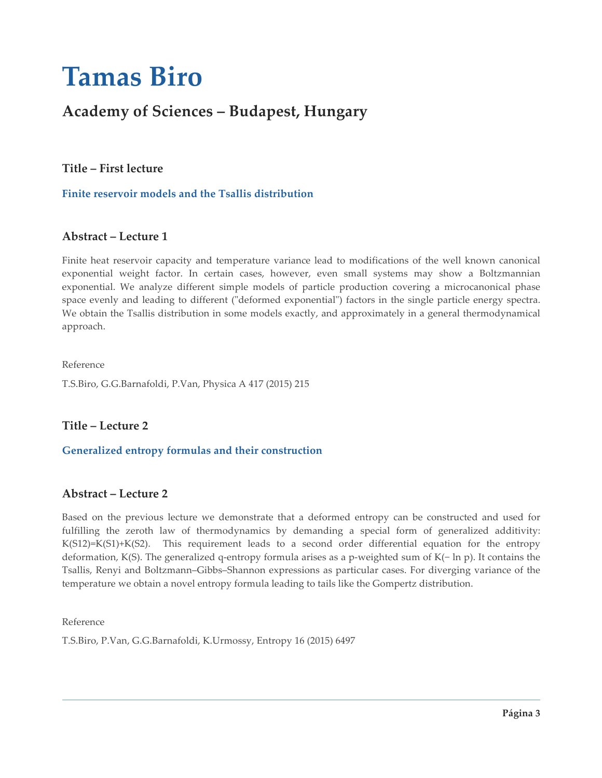## **Tamas Biro**

### **Academy of Sciences – Budapest, Hungary**

#### **Title – First lecture**

#### **Finite reservoir models and the Tsallis distribution**

#### **Abstract – Lecture 1**

Finite heat reservoir capacity and temperature variance lead to modifications of the well known canonical exponential weight factor. In certain cases, however, even small systems may show a Boltzmannian exponential. We analyze different simple models of particle production covering a microcanonical phase space evenly and leading to different ("deformed exponential") factors in the single particle energy spectra. We obtain the Tsallis distribution in some models exactly, and approximately in a general thermodynamical approach.

Reference

T.S.Biro, G.G.Barnafoldi, P.Van, Physica A 417 (2015) 215

#### **Title – Lecture 2**

#### **Generalized entropy formulas and their construction**

#### **Abstract – Lecture 2**

Based on the previous lecture we demonstrate that a deformed entropy can be constructed and used for fulfilling the zeroth law of thermodynamics by demanding a special form of generalized additivity: K(S12)=K(S1)+K(S2). This requirement leads to a second order differential equation for the entropy deformation, K(S). The generalized q-entropy formula arises as a p-weighted sum of K(− ln p). It contains the Tsallis, Renyi and Boltzmann–Gibbs–Shannon expressions as particular cases. For diverging variance of the temperature we obtain a novel entropy formula leading to tails like the Gompertz distribution.

Reference

T.S.Biro, P.Van, G.G.Barnafoldi, K.Urmossy, Entropy 16 (2015) 6497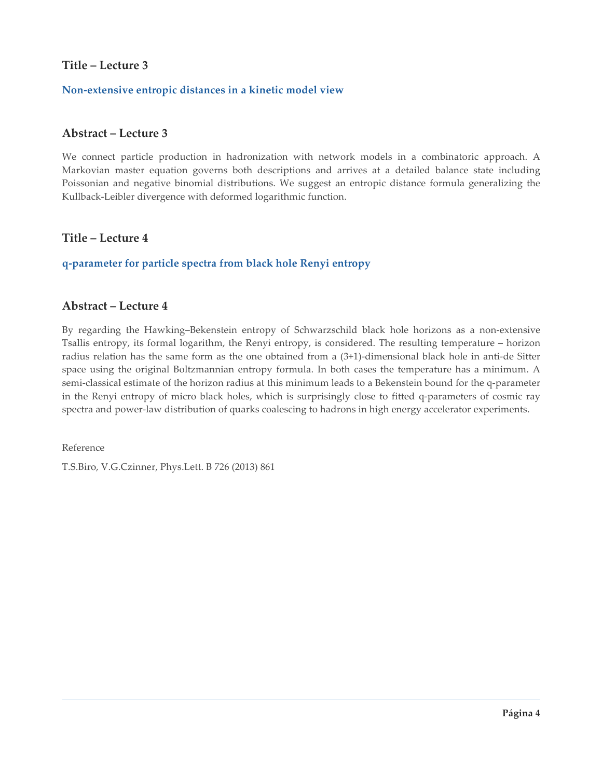#### **Title – Lecture 3**

#### **Non-extensive entropic distances in a kinetic model view**

#### **Abstract – Lecture 3**

We connect particle production in hadronization with network models in a combinatoric approach. A Markovian master equation governs both descriptions and arrives at a detailed balance state including Poissonian and negative binomial distributions. We suggest an entropic distance formula generalizing the Kullback-Leibler divergence with deformed logarithmic function.

#### **Title – Lecture 4**

#### **q-parameter for particle spectra from black hole Renyi entropy**

#### **Abstract – Lecture 4**

By regarding the Hawking–Bekenstein entropy of Schwarzschild black hole horizons as a non-extensive Tsallis entropy, its formal logarithm, the Renyi entropy, is considered. The resulting temperature – horizon radius relation has the same form as the one obtained from a (3+1)-dimensional black hole in anti-de Sitter space using the original Boltzmannian entropy formula. In both cases the temperature has a minimum. A semi-classical estimate of the horizon radius at this minimum leads to a Bekenstein bound for the q-parameter in the Renyi entropy of micro black holes, which is surprisingly close to fitted q-parameters of cosmic ray spectra and power-law distribution of quarks coalescing to hadrons in high energy accelerator experiments.

Reference

T.S.Biro, V.G.Czinner, Phys.Lett. B 726 (2013) 861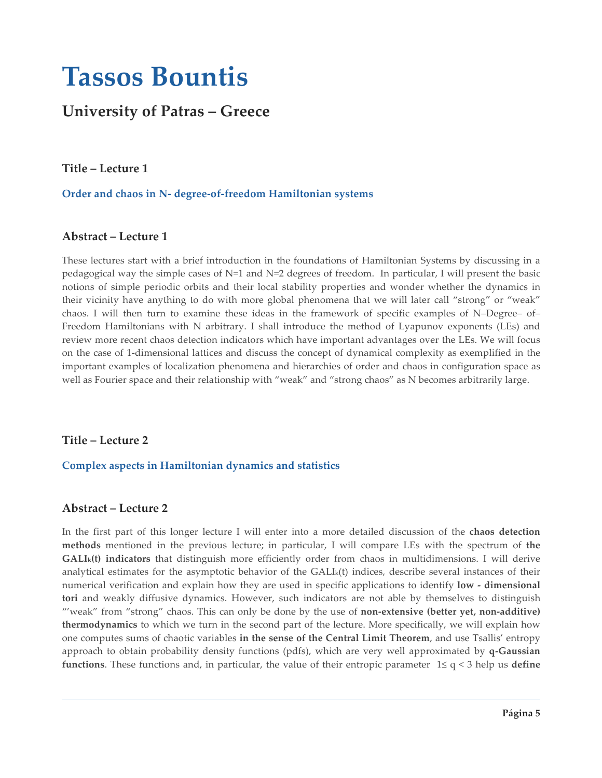### **Tassos Bountis**

### **University of Patras – Greece**

**Title – Lecture 1**

**Order and chaos in N- degree-of-freedom Hamiltonian systems**

#### **Abstract – Lecture 1**

These lectures start with a brief introduction in the foundations of Hamiltonian Systems by discussing in a pedagogical way the simple cases of N=1 and N=2 degrees of freedom. In particular, I will present the basic notions of simple periodic orbits and their local stability properties and wonder whether the dynamics in their vicinity have anything to do with more global phenomena that we will later call "strong" or "weak" chaos. I will then turn to examine these ideas in the framework of specific examples of N–Degree– of– Freedom Hamiltonians with N arbitrary. I shall introduce the method of Lyapunov exponents (LEs) and review more recent chaos detection indicators which have important advantages over the LEs. We will focus on the case of 1-dimensional lattices and discuss the concept of dynamical complexity as exemplified in the important examples of localization phenomena and hierarchies of order and chaos in configuration space as well as Fourier space and their relationship with "weak" and "strong chaos" as N becomes arbitrarily large.

#### **Title – Lecture 2**

#### **Complex aspects in Hamiltonian dynamics and statistics**

#### **Abstract – Lecture 2**

In the first part of this longer lecture I will enter into a more detailed discussion of the **chaos detection methods** mentioned in the previous lecture; in particular, I will compare LEs with the spectrum of **the GALIk(t) indicators** that distinguish more efficiently order from chaos in multidimensions. I will derive analytical estimates for the asymptotic behavior of the GALIk(t) indices, describe several instances of their numerical verification and explain how they are used in specific applications to identify **low - dimensional tori** and weakly diffusive dynamics. However, such indicators are not able by themselves to distinguish "'weak" from "strong" chaos. This can only be done by the use of **non-extensive (better yet, non-additive) thermodynamics** to which we turn in the second part of the lecture. More specifically, we will explain how one computes sums of chaotic variables **in the sense of the Central Limit Theorem**, and use Tsallis' entropy approach to obtain probability density functions (pdfs), which are very well approximated by **q-Gaussian functions**. These functions and, in particular, the value of their entropic parameter 1≤ q < 3 help us **define**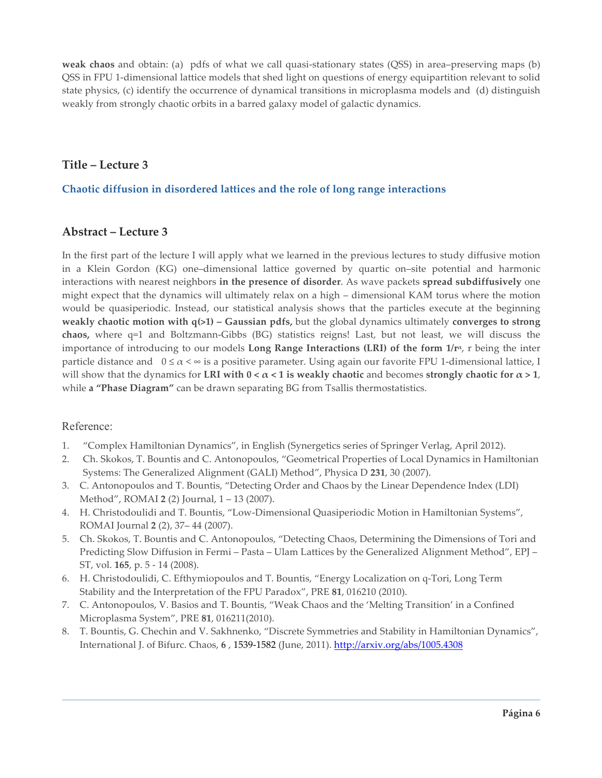**weak chaos** and obtain: (a) pdfs of what we call quasi-stationary states (QSS) in area–preserving maps (b) QSS in FPU 1-dimensional lattice models that shed light on questions of energy equipartition relevant to solid state physics, (c) identify the occurrence of dynamical transitions in microplasma models and (d) distinguish weakly from strongly chaotic orbits in a barred galaxy model of galactic dynamics.

#### **Title – Lecture 3**

#### **Chaotic diffusion in disordered lattices and the role of long range interactions**

#### **Abstract – Lecture 3**

In the first part of the lecture I will apply what we learned in the previous lectures to study diffusive motion in a Klein Gordon (KG) one–dimensional lattice governed by quartic on–site potential and harmonic interactions with nearest neighbors **in the presence of disorder**. As wave packets **spread subdiffusively** one might expect that the dynamics will ultimately relax on a high – dimensional KAM torus where the motion would be quasiperiodic. Instead, our statistical analysis shows that the particles execute at the beginning **weakly chaotic motion with q(>1) – Gaussian pdfs, but the global dynamics ultimately converges to strong chaos,** where q=1 and Boltzmann-Gibbs (BG) statistics reigns! Last, but not least, we will discuss the importance of introducing to our models **Long Range Interactions (LRI) of the form**  $1/r^{\alpha}$ , r being the inter particle distance and  $0 \le \alpha < \infty$  is a positive parameter. Using again our favorite FPU 1-dimensional lattice, I will show that the dynamics for **LRI** with  $0 < \alpha < 1$  is weakly chaotic and becomes strongly chaotic for  $\alpha > 1$ , while **a "Phase Diagram"** can be drawn separating BG from Tsallis thermostatistics.

#### Reference:

- 1. "Complex Hamiltonian Dynamics", in English (Synergetics series of Springer Verlag, April 2012).
- 2. Ch. Skokos, T. Bountis and C. Antonopoulos, "Geometrical Properties of Local Dynamics in Hamiltonian Systems: The Generalized Alignment (GALI) Method", Physica D **231**, 30 (2007).
- 3. C. Antonopoulos and T. Bountis, "Detecting Order and Chaos by the Linear Dependence Index (LDI) Method", ROMAI **2** (2) Journal, 1 – 13 (2007).
- 4. H. Christodoulidi and T. Bountis, "Low-Dimensional Quasiperiodic Motion in Hamiltonian Systems", ROMAI Journal **2** (2), 37– 44 (2007).
- 5. Ch. Skokos, T. Bountis and C. Antonopoulos, "Detecting Chaos, Determining the Dimensions of Tori and Predicting Slow Diffusion in Fermi – Pasta – Ulam Lattices by the Generalized Alignment Method", EPJ – ST, vol. **165**, p. 5 - 14 (2008).
- 6. H. Christodoulidi, C. Efthymiopoulos and T. Bountis, "Energy Localization on q-Tori, Long Term Stability and the Interpretation of the FPU Paradox", PRE **81**, 016210 (2010).
- 7. C. Antonopoulos, V. Basios and T. Bountis, "Weak Chaos and the 'Melting Transition' in a Confined Microplasma System", PRE **81**, 016211(2010).
- 8. T. Bountis, G. Chechin and V. Sakhnenko, "Discrete Symmetries and Stability in Hamiltonian Dynamics", International J. of Bifurc. Chaos, **6** , 1539-1582 (June, 2011). http://arxiv.org/abs/1005.4308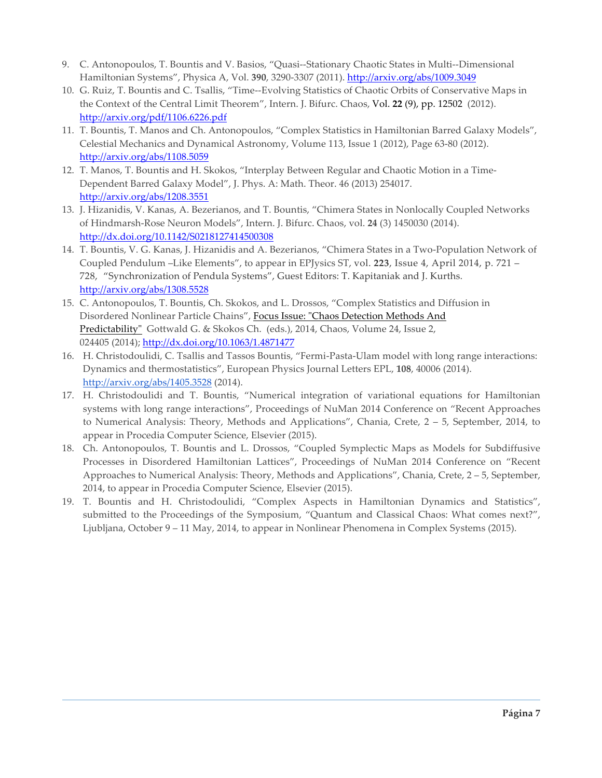- 9. C. Antonopoulos, T. Bountis and V. Basios, "Quasi--Stationary Chaotic States in Multi--Dimensional Hamiltonian Systems", Physica A, Vol. **390**, 3290-3307 (2011). http://arxiv.org/abs/1009.3049
- 10. G. Ruiz, T. Bountis and C. Tsallis, "Time--Evolving Statistics of Chaotic Orbits of Conservative Maps in the Context of the Central Limit Theorem", Intern. J. Bifurc. Chaos, Vol. **22** (9), pp. 12502 (2012). http://arxiv.org/pdf/1106.6226.pdf
- 11. T. Bountis, T. Manos and Ch. Antonopoulos, "Complex Statistics in Hamiltonian Barred Galaxy Models", Celestial Mechanics and Dynamical Astronomy, Volume 113, Issue 1 (2012), Page 63-80 (2012). http://arxiv.org/abs/1108.5059
- 12. T. Manos, T. Bountis and H. Skokos, "Interplay Between Regular and Chaotic Motion in a Time-Dependent Barred Galaxy Model", J. Phys. A: Math. Theor. 46 (2013) 254017. http://arxiv.org/abs/1208.3551
- 13. J. Hizanidis, V. Kanas, A. Bezerianos, and T. Bountis, "Chimera States in Nonlocally Coupled Networks of Hindmarsh-Rose Neuron Models", Intern. J. Bifurc. Chaos, vol. **24** (3) 1450030 (2014). http://dx.doi.org/10.1142/S0218127414500308
- 14. T. Bountis, V. G. Kanas, J. Hizanidis and A. Bezerianos, "Chimera States in a Two-Population Network of Coupled Pendulum –Like Elements", to appear in EPJysics ST, vol. **223**, Issue 4, April 2014, p. 721 – 728, "Synchronization of Pendula Systems", Guest Editors: T. Kapitaniak and J. Kurths. http://arxiv.org/abs/1308.5528
- 15. C. Antonopoulos, T. Bountis, Ch. Skokos, and L. Drossos, "Complex Statistics and Diffusion in Disordered Nonlinear Particle Chains", Focus Issue: "Chaos Detection Methods And Predictability" Gottwald G. & Skokos Ch. (eds.), 2014, Chaos, Volume 24, Issue 2, 024405 (2014); http://dx.doi.org/10.1063/1.4871477
- 16. H. Christodoulidi, C. Tsallis and Tassos Bountis, "Fermi-Pasta-Ulam model with long range interactions: Dynamics and thermostatistics", European Physics Journal Letters EPL, **108**, 40006 (2014). http://arxiv.org/abs/1405.3528 (2014).
- 17. H. Christodoulidi and T. Bountis, "Numerical integration of variational equations for Hamiltonian systems with long range interactions", Proceedings of NuMan 2014 Conference on "Recent Approaches to Numerical Analysis: Theory, Methods and Applications", Chania, Crete, 2 – 5, September, 2014, to appear in Procedia Computer Science, Elsevier (2015).
- 18. Ch. Antonopoulos, T. Bountis and L. Drossos, "Coupled Symplectic Maps as Models for Subdiffusive Processes in Disordered Hamiltonian Lattices", Proceedings of NuMan 2014 Conference on "Recent Approaches to Numerical Analysis: Theory, Methods and Applications", Chania, Crete, 2 – 5, September, 2014, to appear in Procedia Computer Science, Elsevier (2015).
- 19. T. Bountis and H. Christodoulidi, "Complex Aspects in Hamiltonian Dynamics and Statistics", submitted to the Proceedings of the Symposium, "Quantum and Classical Chaos: What comes next?", Ljubljana, October 9 – 11 May, 2014, to appear in Nonlinear Phenomena in Complex Systems (2015).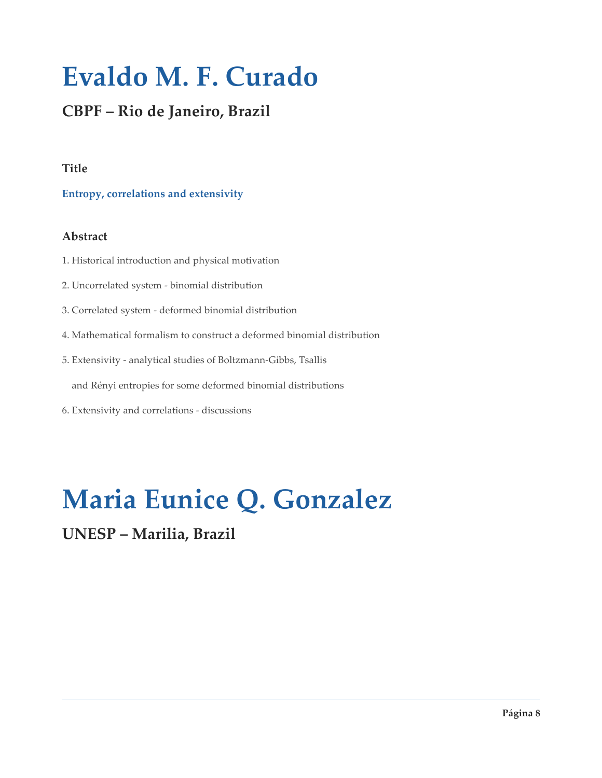## **Evaldo M. F. Curado**

### **CBPF – Rio de Janeiro, Brazil**

#### **Title**

**Entropy, correlations and extensivity**

#### **Abstract**

- 1. Historical introduction and physical motivation
- 2. Uncorrelated system binomial distribution
- 3. Correlated system deformed binomial distribution
- 4. Mathematical formalism to construct a deformed binomial distribution
- 5. Extensivity analytical studies of Boltzmann-Gibbs, Tsallis

and Rényi entropies for some deformed binomial distributions

6. Extensivity and correlations - discussions

# **Maria Eunice Q. Gonzalez**

**UNESP – Marilia, Brazil**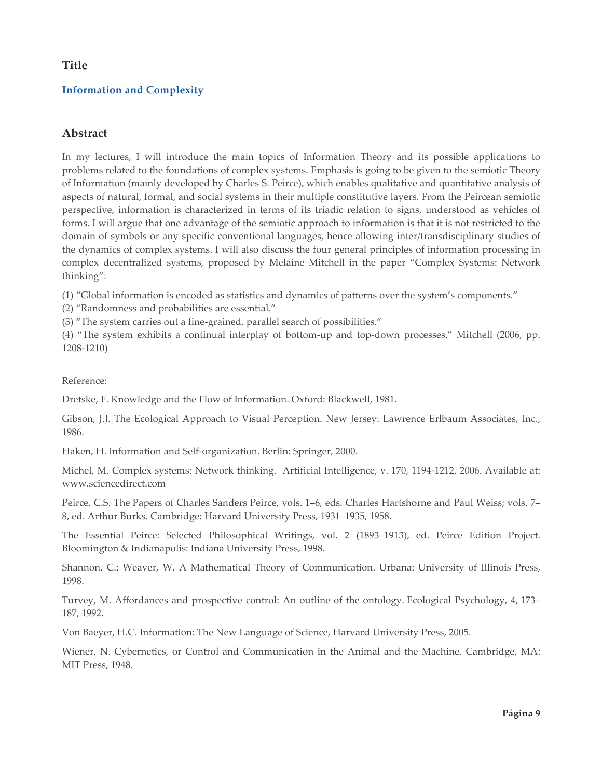#### **Title**

#### **Information and Complexity**

#### **Abstract**

In my lectures, I will introduce the main topics of Information Theory and its possible applications to problems related to the foundations of complex systems. Emphasis is going to be given to the semiotic Theory of Information (mainly developed by Charles S. Peirce), which enables qualitative and quantitative analysis of aspects of natural, formal, and social systems in their multiple constitutive layers. From the Peircean semiotic perspective, information is characterized in terms of its triadic relation to signs, understood as vehicles of forms. I will argue that one advantage of the semiotic approach to information is that it is not restricted to the domain of symbols or any specific conventional languages, hence allowing inter/transdisciplinary studies of the dynamics of complex systems. I will also discuss the four general principles of information processing in complex decentralized systems, proposed by Melaine Mitchell in the paper "Complex Systems: Network thinking":

(1) "Global information is encoded as statistics and dynamics of patterns over the system's components."

(2) "Randomness and probabilities are essential."

(3) "The system carries out a fine-grained, parallel search of possibilities."

(4) "The system exhibits a continual interplay of bottom-up and top-down processes." Mitchell (2006, pp. 1208-1210)

Reference:

Dretske, F. Knowledge and the Flow of Information. Oxford: Blackwell, 1981.

Gibson, J.J. The Ecological Approach to Visual Perception. New Jersey: Lawrence Erlbaum Associates, Inc., 1986.

Haken, H. Information and Self-organization. Berlin: Springer, 2000.

Michel, M. Complex systems: Network thinking. Artificial Intelligence, v. 170, 1194-1212, 2006. Available at: www.sciencedirect.com

Peirce, C.S. The Papers of Charles Sanders Peirce, vols. 1–6, eds. Charles Hartshorne and Paul Weiss; vols. 7– 8, ed. Arthur Burks. Cambridge: Harvard University Press, 1931–1935, 1958.

The Essential Peirce: Selected Philosophical Writings, vol. 2 (1893–1913), ed. Peirce Edition Project. Bloomington & Indianapolis: Indiana University Press, 1998.

Shannon, C.; Weaver, W. A Mathematical Theory of Communication. Urbana: University of Illinois Press, 1998.

Turvey, M. Affordances and prospective control: An outline of the ontology. Ecological Psychology, 4, 173– 187, 1992.

Von Baeyer, H.C. Information: The New Language of Science, Harvard University Press, 2005.

Wiener, N. Cybernetics, or Control and Communication in the Animal and the Machine. Cambridge, MA: MIT Press, 1948.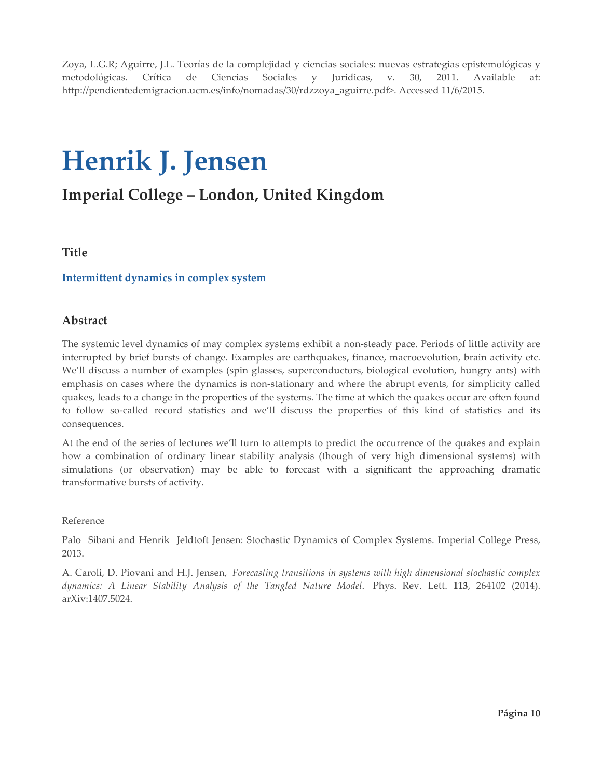Zoya, L.G.R; Aguirre, J.L. Teorías de la complejidad y ciencias sociales: nuevas estrategias epistemológicas y metodológicas. Crítica de Ciencias Sociales y Juridicas, v. 30, 2011. Available at: http://pendientedemigracion.ucm.es/info/nomadas/30/rdzzoya\_aguirre.pdf>. Accessed 11/6/2015.

### **Henrik J. Jensen**

### **Imperial College – London, United Kingdom**

#### **Title**

#### **Intermittent dynamics in complex system**

#### **Abstract**

The systemic level dynamics of may complex systems exhibit a non-steady pace. Periods of little activity are interrupted by brief bursts of change. Examples are earthquakes, finance, macroevolution, brain activity etc. We'll discuss a number of examples (spin glasses, superconductors, biological evolution, hungry ants) with emphasis on cases where the dynamics is non-stationary and where the abrupt events, for simplicity called quakes, leads to a change in the properties of the systems. The time at which the quakes occur are often found to follow so-called record statistics and we'll discuss the properties of this kind of statistics and its consequences.

At the end of the series of lectures we'll turn to attempts to predict the occurrence of the quakes and explain how a combination of ordinary linear stability analysis (though of very high dimensional systems) with simulations (or observation) may be able to forecast with a significant the approaching dramatic transformative bursts of activity.

#### Reference

Palo Sibani and Henrik Jeldtoft Jensen: Stochastic Dynamics of Complex Systems. Imperial College Press, 2013.

A. Caroli, D. Piovani and H.J. Jensen, *Forecasting transitions in systems with high dimensional stochastic complex dynamics: A Linear Stability Analysis of the Tangled Nature Model*. Phys. Rev. Lett. **113**, 264102 (2014). arXiv:1407.5024.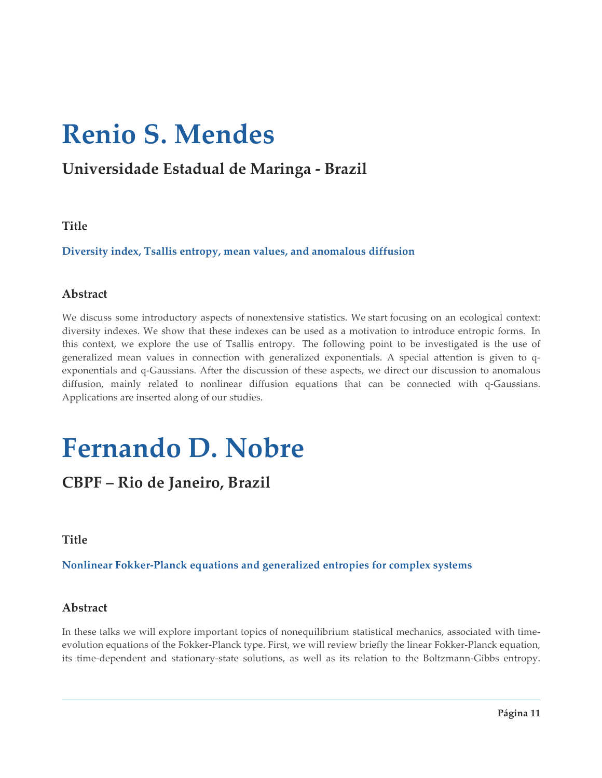## **Renio S. Mendes**

### **Universidade Estadual de Maringa - Brazil**

#### **Title**

**Diversity index, Tsallis entropy, mean values, and anomalous diffusion**

#### **Abstract**

We discuss some introductory aspects of nonextensive statistics. We start focusing on an ecological context: diversity indexes. We show that these indexes can be used as a motivation to introduce entropic forms. In this context, we explore the use of Tsallis entropy. The following point to be investigated is the use of generalized mean values in connection with generalized exponentials. A special attention is given to qexponentials and q-Gaussians. After the discussion of these aspects, we direct our discussion to anomalous diffusion, mainly related to nonlinear diffusion equations that can be connected with q-Gaussians. Applications are inserted along of our studies.

## **Fernando D. Nobre**

### **CBPF – Rio de Janeiro, Brazil**

#### **Title**

#### **Nonlinear Fokker-Planck equations and generalized entropies for complex systems**

#### **Abstract**

In these talks we will explore important topics of nonequilibrium statistical mechanics, associated with timeevolution equations of the Fokker-Planck type. First, we will review briefly the linear Fokker-Planck equation, its time-dependent and stationary-state solutions, as well as its relation to the Boltzmann-Gibbs entropy.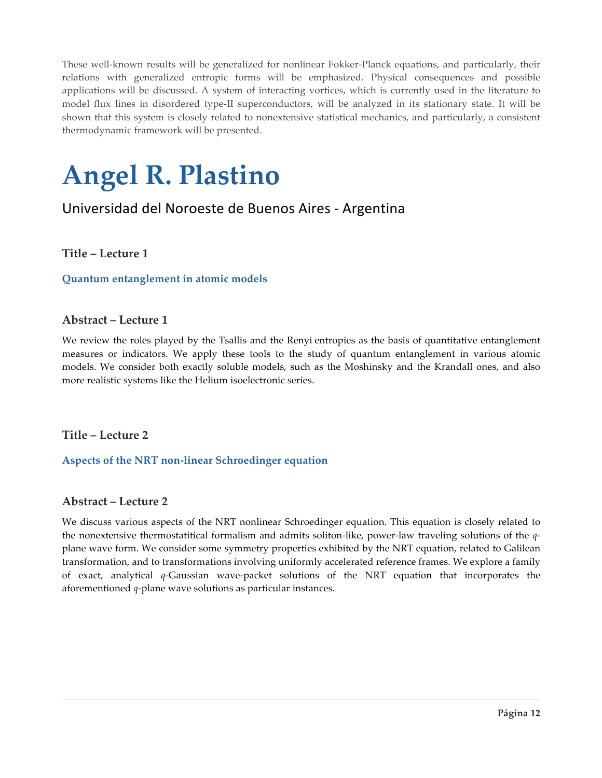These well-known results will be generalized for nonlinear Fokker-Planck equations, and particularly, their relations with generalized entropic forms will be emphasized. Physical consequences and possible applications will be discussed. A system of interacting vortices, which is currently used in the literature to model flux lines in disordered type-II superconductors, will be analyzed in its stationary state. It will be shown that this system is closely related to nonextensive statistical mechanics, and particularly, a consistent thermodynamic framework will be presented.

## **Angel R. Plastino**

### Universidad del Noroeste de Buenos Aires - Argentina

#### **Title – Lecture 1**

#### **Quantum entanglement in atomic models**

#### **Abstract – Lecture 1**

We review the roles played by the Tsallis and the Renyi entropies as the basis of quantitative entanglement measures or indicators. We apply these tools to the study of quantum entanglement in various atomic models. We consider both exactly soluble models, such as the Moshinsky and the Krandall ones, and also more realistic systems like the Helium isoelectronic series.

#### **Title – Lecture 2**

#### **Aspects of the NRT non-linear Schroedinger equation**

#### **Abstract – Lecture 2**

We discuss various aspects of the NRT nonlinear Schroedinger equation. This equation is closely related to the nonextensive thermostatitical formalism and admits soliton-like, power-law traveling solutions of the *q*plane wave form. We consider some symmetry properties exhibited by the NRT equation, related to Galilean transformation, and to transformations involving uniformly accelerated reference frames. We explore a family of exact, analytical *q*-Gaussian wave-packet solutions of the NRT equation that incorporates the aforementioned *q*-plane wave solutions as particular instances.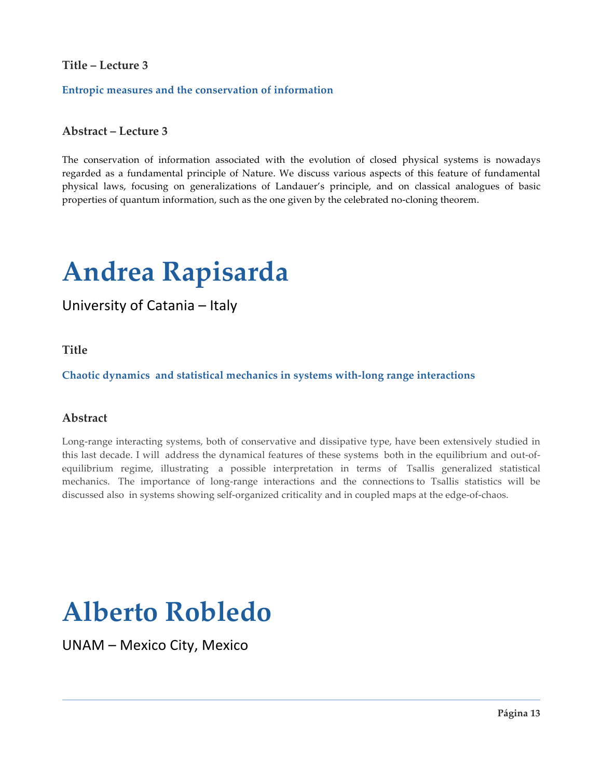#### **Title – Lecture 3**

#### **Entropic measures and the conservation of information**

#### **Abstract – Lecture 3**

The conservation of information associated with the evolution of closed physical systems is nowadays regarded as a fundamental principle of Nature. We discuss various aspects of this feature of fundamental physical laws, focusing on generalizations of Landauer's principle, and on classical analogues of basic properties of quantum information, such as the one given by the celebrated no-cloning theorem.

### **Andrea Rapisarda**

University of Catania - Italy

#### **Title**

**Chaotic dynamics and statistical mechanics in systems with-long range interactions**

#### **Abstract**

Long-range interacting systems, both of conservative and dissipative type, have been extensively studied in this last decade. I will address the dynamical features of these systems both in the equilibrium and out-ofequilibrium regime, illustrating a possible interpretation in terms of Tsallis generalized statistical mechanics. The importance of long-range interactions and the connections to Tsallis statistics will be discussed also in systems showing self-organized criticality and in coupled maps at the edge-of-chaos.

### **Alberto Robledo**

UNAM - Mexico City, Mexico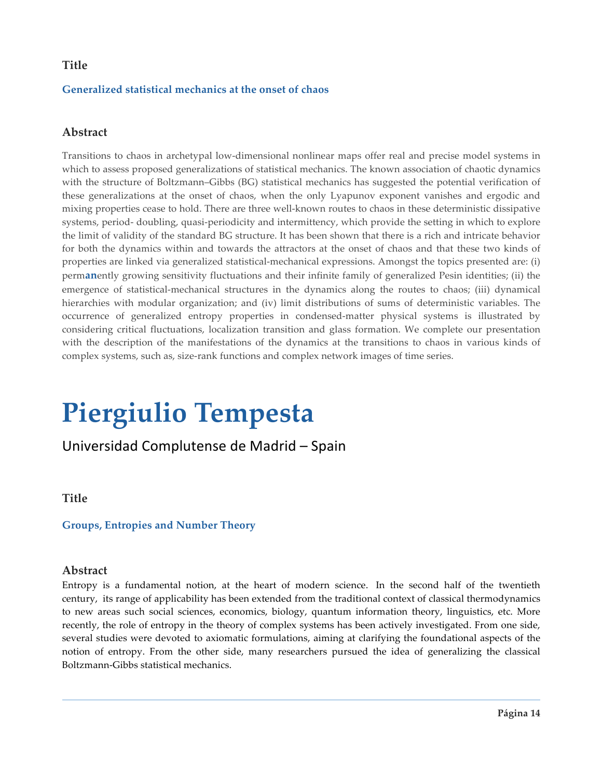#### **Title**

#### **Generalized statistical mechanics at the onset of chaos**

#### **Abstract**

Transitions to chaos in archetypal low-dimensional nonlinear maps offer real and precise model systems in which to assess proposed generalizations of statistical mechanics. The known association of chaotic dynamics with the structure of Boltzmann–Gibbs (BG) statistical mechanics has suggested the potential verification of these generalizations at the onset of chaos, when the only Lyapunov exponent vanishes and ergodic and mixing properties cease to hold. There are three well-known routes to chaos in these deterministic dissipative systems, period- doubling, quasi-periodicity and intermittency, which provide the setting in which to explore the limit of validity of the standard BG structure. It has been shown that there is a rich and intricate behavior for both the dynamics within and towards the attractors at the onset of chaos and that these two kinds of properties are linked via generalized statistical-mechanical expressions. Amongst the topics presented are: (i) perm**an**ently growing sensitivity fluctuations and their infinite family of generalized Pesin identities; (ii) the emergence of statistical-mechanical structures in the dynamics along the routes to chaos; (iii) dynamical hierarchies with modular organization; and (iv) limit distributions of sums of deterministic variables. The occurrence of generalized entropy properties in condensed-matter physical systems is illustrated by considering critical fluctuations, localization transition and glass formation. We complete our presentation with the description of the manifestations of the dynamics at the transitions to chaos in various kinds of complex systems, such as, size-rank functions and complex network images of time series.

## **Piergiulio Tempesta**

Universidad Complutense de Madrid - Spain

#### **Title**

#### **Groups, Entropies and Number Theory**

#### **Abstract**

Entropy is a fundamental notion, at the heart of modern science. In the second half of the twentieth century, its range of applicability has been extended from the traditional context of classical thermodynamics to new areas such social sciences, economics, biology, quantum information theory, linguistics, etc. More recently, the role of entropy in the theory of complex systems has been actively investigated. From one side, several studies were devoted to axiomatic formulations, aiming at clarifying the foundational aspects of the notion of entropy. From the other side, many researchers pursued the idea of generalizing the classical Boltzmann-Gibbs statistical mechanics.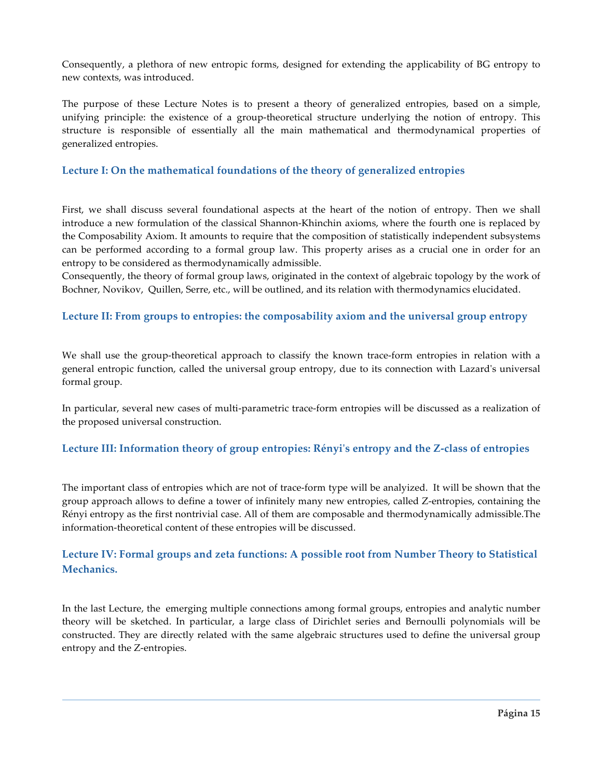Consequently, a plethora of new entropic forms, designed for extending the applicability of BG entropy to new contexts, was introduced.

The purpose of these Lecture Notes is to present a theory of generalized entropies, based on a simple, unifying principle: the existence of a group-theoretical structure underlying the notion of entropy. This structure is responsible of essentially all the main mathematical and thermodynamical properties of generalized entropies.

#### **Lecture I: On the mathematical foundations of the theory of generalized entropies**

First, we shall discuss several foundational aspects at the heart of the notion of entropy. Then we shall introduce a new formulation of the classical Shannon-Khinchin axioms, where the fourth one is replaced by the Composability Axiom. It amounts to require that the composition of statistically independent subsystems can be performed according to a formal group law. This property arises as a crucial one in order for an entropy to be considered as thermodynamically admissible.

Consequently, the theory of formal group laws, originated in the context of algebraic topology by the work of Bochner, Novikov, Quillen, Serre, etc., will be outlined, and its relation with thermodynamics elucidated.

#### **Lecture II: From groups to entropies: the composability axiom and the universal group entropy**

We shall use the group-theoretical approach to classify the known trace-form entropies in relation with a general entropic function, called the universal group entropy, due to its connection with Lazard's universal formal group.

In particular, several new cases of multi-parametric trace-form entropies will be discussed as a realization of the proposed universal construction.

#### **Lecture III: Information theory of group entropies: Rényi's entropy and the Z-class of entropies**

The important class of entropies which are not of trace-form type will be analyized. It will be shown that the group approach allows to define a tower of infinitely many new entropies, called Z-entropies, containing the Rényi entropy as the first nontrivial case. All of them are composable and thermodynamically admissible.The information-theoretical content of these entropies will be discussed.

#### **Lecture IV: Formal groups and zeta functions: A possible root from Number Theory to Statistical Mechanics.**

In the last Lecture, the emerging multiple connections among formal groups, entropies and analytic number theory will be sketched. In particular, a large class of Dirichlet series and Bernoulli polynomials will be constructed. They are directly related with the same algebraic structures used to define the universal group entropy and the Z-entropies.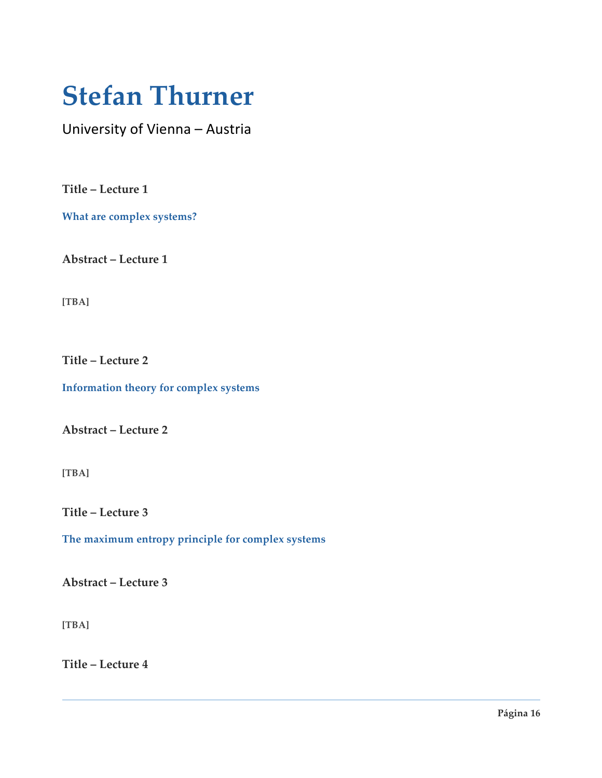## **Stefan Thurner**

### University of Vienna - Austria

**Title – Lecture 1**

**What are complex systems?**

**Abstract – Lecture 1**

**[TBA]**

**Title – Lecture 2**

**Information theory for complex systems**

**Abstract – Lecture 2**

**[TBA]**

**Title – Lecture 3**

**The maximum entropy principle for complex systems**

**Abstract – Lecture 3**

**[TBA]**

**Title – Lecture 4**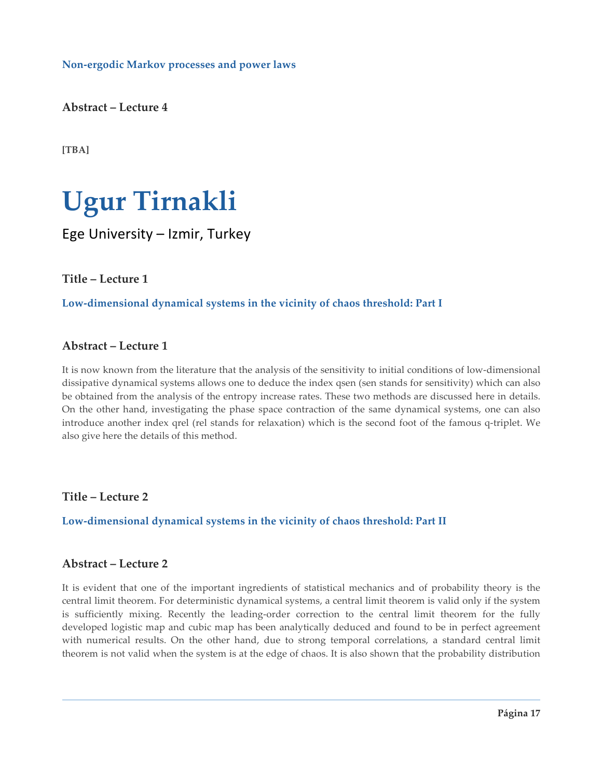**Non-ergodic Markov processes and power laws**

**Abstract – Lecture 4**

**[TBA]**

### **Ugur Tirnakli**

Ege University  $-$  Izmir, Turkey

**Title – Lecture 1**

#### **Low-dimensional dynamical systems in the vicinity of chaos threshold: Part I**

#### **Abstract – Lecture 1**

It is now known from the literature that the analysis of the sensitivity to initial conditions of low-dimensional dissipative dynamical systems allows one to deduce the index qsen (sen stands for sensitivity) which can also be obtained from the analysis of the entropy increase rates. These two methods are discussed here in details. On the other hand, investigating the phase space contraction of the same dynamical systems, one can also introduce another index qrel (rel stands for relaxation) which is the second foot of the famous q-triplet. We also give here the details of this method.

**Title – Lecture 2**

**Low-dimensional dynamical systems in the vicinity of chaos threshold: Part II**

#### **Abstract – Lecture 2**

It is evident that one of the important ingredients of statistical mechanics and of probability theory is the central limit theorem. For deterministic dynamical systems, a central limit theorem is valid only if the system is sufficiently mixing. Recently the leading-order correction to the central limit theorem for the fully developed logistic map and cubic map has been analytically deduced and found to be in perfect agreement with numerical results. On the other hand, due to strong temporal correlations, a standard central limit theorem is not valid when the system is at the edge of chaos. It is also shown that the probability distribution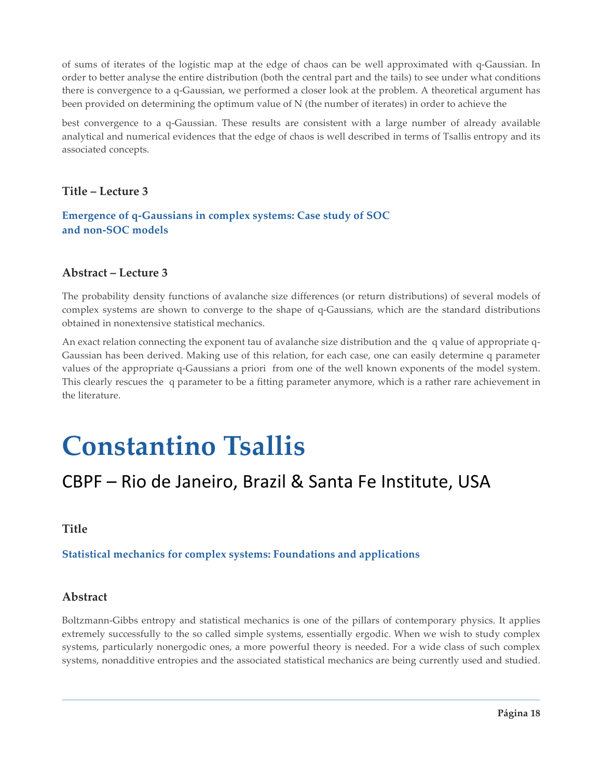of sums of iterates of the logistic map at the edge of chaos can be well approximated with q-Gaussian. In order to better analyse the entire distribution (both the central part and the tails) to see under what conditions there is convergence to a q-Gaussian, we performed a closer look at the problem. A theoretical argument has been provided on determining the optimum value of N (the number of iterates) in order to achieve the

best convergence to a q-Gaussian. These results are consistent with a large number of already available analytical and numerical evidences that the edge of chaos is well described in terms of Tsallis entropy and its associated concepts.

#### **Title – Lecture 3**

**Emergence of q-Gaussians in complex systems: Case study of SOC and non-SOC models**

#### **Abstract – Lecture 3**

The probability density functions of avalanche size differences (or return distributions) of several models of complex systems are shown to converge to the shape of q-Gaussians, which are the standard distributions obtained in nonextensive statistical mechanics.

An exact relation connecting the exponent tau of avalanche size distribution and the q value of appropriate q-Gaussian has been derived. Making use of this relation, for each case, one can easily determine q parameter values of the appropriate q-Gaussians a priori from one of the well known exponents of the model system. This clearly rescues the q parameter to be a fitting parameter anymore, which is a rather rare achievement in the literature.

## **Constantino Tsallis**

### CBPF – Rio de Janeiro, Brazil & Santa Fe Institute, USA

#### **Title**

#### **Statistical mechanics for complex systems: Foundations and applications**

#### **Abstract**

Boltzmann-Gibbs entropy and statistical mechanics is one of the pillars of contemporary physics. It applies extremely successfully to the so called simple systems, essentially ergodic. When we wish to study complex systems, particularly nonergodic ones, a more powerful theory is needed. For a wide class of such complex systems, nonadditive entropies and the associated statistical mechanics are being currently used and studied.